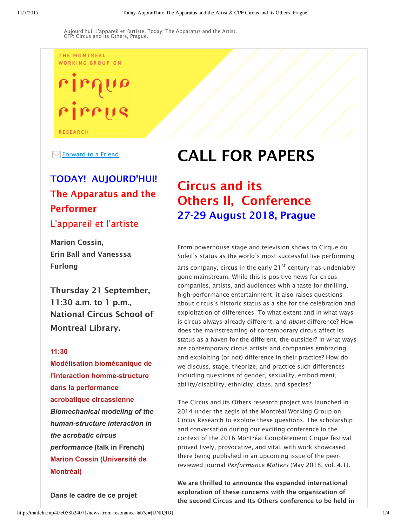THE MONTREAL WORKING GROUP ON

rirrus **RESEARCH** 

 $\boxdot$  Forward to a Friend

## TODAY! AUJOURD'HUI! The Apparatus and the Performer L'appareil et l'artiste

Marion Cossin, Erin Ball and Vanesssa Furlong

Thursday 21 September, 11:30 a.m. to 1 p.m., National Circus School of Montreal Library.

#### **11:30**

**Modélisation biomécanique de l'interaction homme-structure dans la performance acrobatique circassienne** *Biomechanical modeling of the humanstructure interaction in the acrobatic circus performance* **(talk in French) Marion Cossin (Université de Montréal)**

**Dans le cadre de ce projet**

# CALL FOR PAPERS

# Circus and its Others Il, Conference 27-29 August 2018, Prague

From powerhouse stage and television shows to Cirque du Soleil's status as the world's most successful live performing arts company, circus in the early  $21^{st}$  century has undeniably gone mainstream. While this is positive news for circus companies, artists, and audiences with a taste for thrilling, high-performance entertainment, it also raises questions about circus's historic status as a site for the celebration and exploitation of differences. To what extent and in what ways is circus always-already different, and *about* difference? How does the mainstreaming of contemporary circus affect its status as a haven for the different, the outsider? In what ways are contemporary circus artists and companies embracing and exploiting (or not) difference in their practice? How do we discuss, stage, theorize, and practice such differences including questions of gender, sexuality, embodiment, ability/disability, ethnicity, class, and species?

The Circus and its Others research project was launched in 2014 under the aegis of the Montréal Working Group on Circus Research to explore these questions. The scholarship and conversation during our exciting conference in the context of the 2016 Montréal Complètement Cirque festival proved lively, provocative, and vital, with work showcased there being published in an upcoming issue of the peerreviewed journal *Performance Matters* (May 2018, vol. 4.1).

We are thrilled to announce the expanded international exploration of these concerns with the organization of the second Circus and Its Others conference to be held in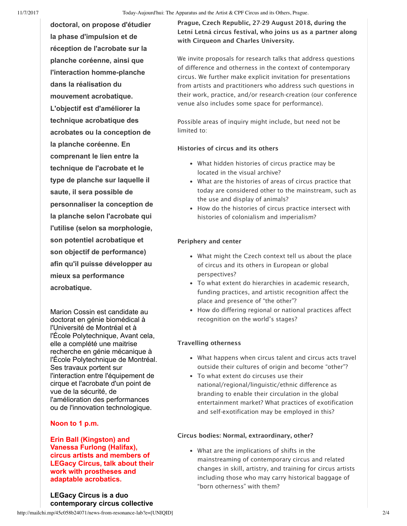**doctoral, on propose d'étudier la phase d'impulsion et de réception de l'acrobate sur la planche coréenne, ainsi que l'interaction homme-planche dans la réalisation du mouvement acrobatique. L'objectif est d'améliorer la technique acrobatique des acrobates ou la conception de la planche coréenne. En comprenant le lien entre la technique de l'acrobate et le type de planche sur laquelle il saute, il sera possible de personnaliser la conception de la planche selon l'acrobate qui l'utilise (selon sa morphologie, son potentiel acrobatique et son objectif de performance) afin qu'il puisse développer au mieux sa performance acrobatique.**

Marion Cossin est candidate au doctorat en génie biomédical à l'Université de Montréal et à l'École Polytechnique, Avant cela, elle a complété une maitrise recherche en génie mécanique à l'École Polytechnique de Montréal. Ses travaux portent sur l'interaction entre l'équipement de cirque et l'acrobate d'un point de vue de la sécurité, de l'amélioration des performances ou de l'innovation technologique.

### **Noon to 1 p.m.**

**Erin Ball (Kingston) and Vanessa Furlong (Halifax), circus artists and members of LEGacy Circus, talk about their work with prostheses and adaptable acrobatics.** 

**LEGacy Circus is a duo contemporary circus collective** Prague, Czech Republic, 27-29 August 2018, during the Letní Letná circus festival, who joins us as a partner along with Cirqueon and Charles University.

We invite proposals for research talks that address questions of difference and otherness in the context of contemporary circus. We further make explicit invitation for presentations from artists and practitioners who address such questions in their work, practice, and/or research-creation (our conference venue also includes some space for performance).

Possible areas of inquiry might include, but need not be limited to:

#### Histories of circus and its others

- What hidden histories of circus practice may be located in the visual archive?
- What are the histories of areas of circus practice that today are considered other to the mainstream, such as the use and display of animals?
- How do the histories of circus practice intersect with histories of colonialism and imperialism?

#### Periphery and center

- What might the Czech context tell us about the place of circus and its others in European or global perspectives?
- To what extent do hierarchies in academic research, funding practices, and artistic recognition affect the place and presence of "the other"?
- How do differing regional or national practices affect recognition on the world's stages?

#### Travelling otherness

- What happens when circus talent and circus acts travel outside their cultures of origin and become "other"?
- To what extent do circuses use their national/regional/linguistic/ethnic difference as branding to enable their circulation in the global entertainment market? What practices of exotification and self-exotification may be employed in this?

#### Circus bodies: Normal, extraordinary, other?

What are the implications of shifts in the mainstreaming of contemporary circus and related changes in skill, artistry, and training for circus artists including those who may carry historical baggage of "born otherness" with them?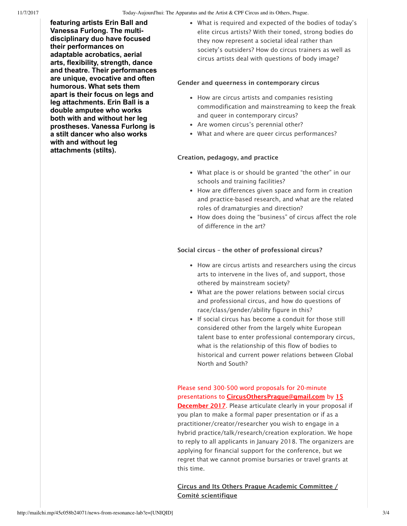**featuring artists Erin Ball and Vanessa Furlong. The multidisciplinary duo have focused their performances on adaptable acrobatics, aerial arts, flexibility, strength, dance and theatre. Their performances are unique, evocative and often humorous. What sets them apart is their focus on legs and leg attachments. Erin Ball is a double amputee who works both with and without her leg prostheses. Vanessa Furlong is a stilt dancer who also works with and without leg attachments (stilts).**

What is required and expected of the bodies of today's elite circus artists? With their toned, strong bodies do they now represent a societal ideal rather than society's outsiders? How do circus trainers as well as circus artists deal with questions of body image?

#### Gender and queerness in contemporary circus

- How are circus artists and companies resisting commodification and mainstreaming to keep the freak and queer in contemporary circus?
- Are women circus's perennial other?
- What and where are queer circus performances?

#### Creation, pedagogy, and practice

- What place is or should be granted "the other" in our schools and training facilities?
- How are differences given space and form in creation and practice-based research, and what are the related roles of dramaturgies and direction?
- How does doing the "business" of circus affect the role of difference in the art?

#### Social circus – the other of professional circus?

- How are circus artists and researchers using the circus arts to intervene in the lives of, and support, those othered by mainstream society?
- What are the power relations between social circus and professional circus, and how do questions of race/class/gender/ability figure in this?
- If social circus has become a conduit for those still considered other from the largely white European talent base to enter professional contemporary circus, what is the relationship of this flow of bodies to historical and current power relations between Global North and South?

## Please send 300-500 word proposals for 20-minute presentations to **CircusOthersPrague@gmail.com** by 15

December 2017. Please articulate clearly in your proposal if you plan to make a formal paper presentation or if as a practitioner/creator/researcher you wish to engage in a hybrid practice/talk/research/creation exploration. We hope to reply to all applicants in January 2018. The organizers are applying for financial support for the conference, but we regret that we cannot promise bursaries or travel grants at this time.

#### Circus and Its Others Prague Academic Committee / Comité scientifique